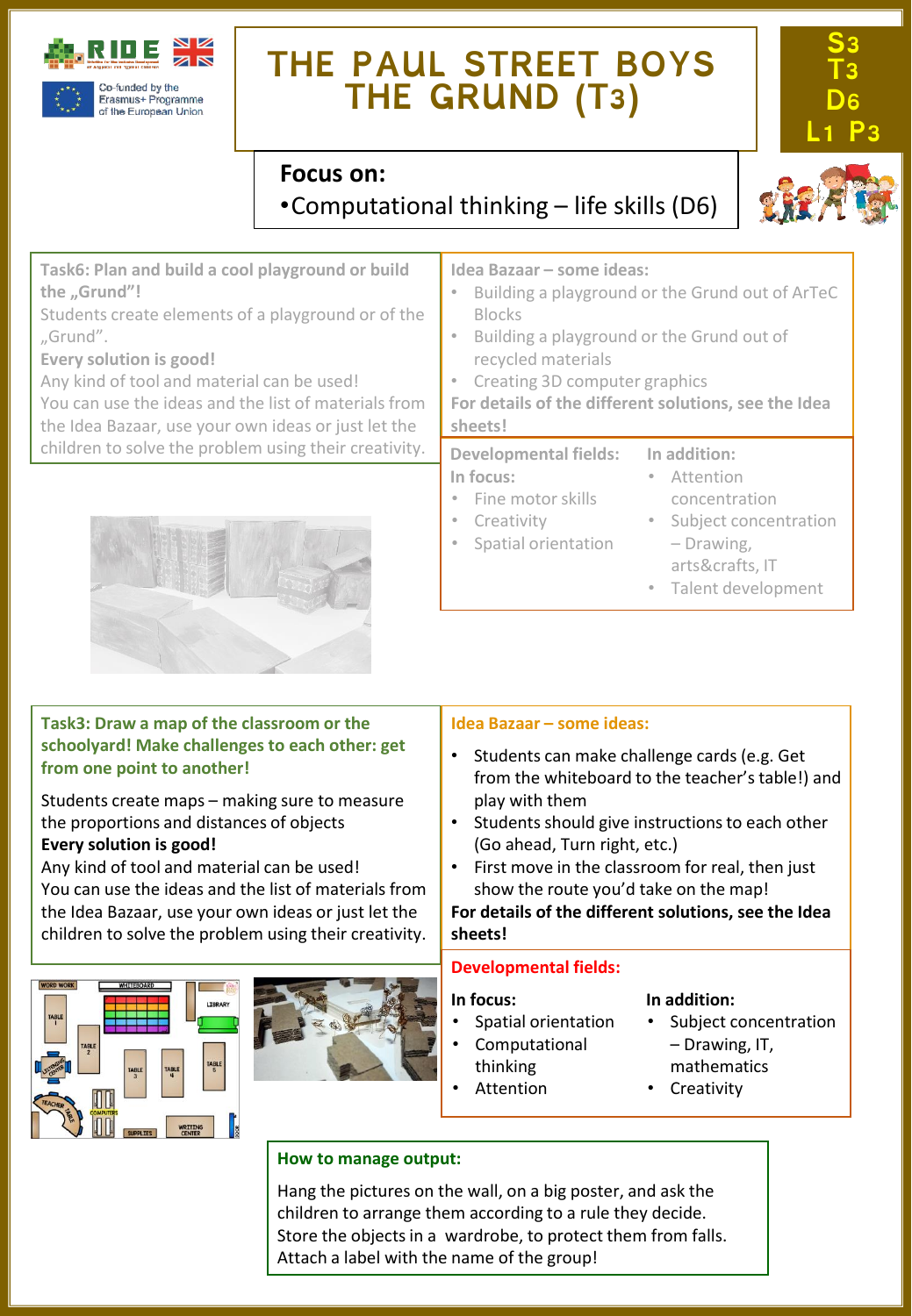

## **THE PAUL STREET BOYS THE GRUND (T3)**







**S3 T3 D6** 

**Task6: Plan and build a cool playground or build the "Grund"!**

Students create elements of a playground or of the "Grund".

**Every solution is good!**

Any kind of tool and material can be used!

You can use the ideas and the list of materials from the Idea Bazaar, use your own ideas or just let the children to solve the problem using their creativity.



### **Task3: Draw a map of the classroom or the schoolyard! Make challenges to each other: get from one point to another!**

Students create maps – making sure to measure the proportions and distances of objects **Every solution is good!**

Any kind of tool and material can be used! You can use the ideas and the list of materials from the Idea Bazaar, use your own ideas or just let the children to solve the problem using their creativity.





### **Idea Bazaar – some ideas:**

- Building a playground or the Grund out of ArTeC Blocks
- Building a playground or the Grund out of recycled materials
- Creating 3D computer graphics
- **For details of the different solutions, see the Idea sheets!**

#### **Developmental fields: In focus:** • Fine motor skills **In addition:** • Attention concentration

**Creativity** 

• Spatial orientation

• Subject concentration – Drawing,

arts&crafts, IT

• Talent development

#### **Idea Bazaar – some ideas:**

- Students can make challenge cards (e.g. Get from the whiteboard to the teacher's table!) and play with them
- Students should give instructions to each other (Go ahead, Turn right, etc.)
- First move in the classroom for real, then just show the route you'd take on the map!

#### **For details of the different solutions, see the Idea sheets!**

#### **Developmental fields:**

#### **In focus:**

- Spatial orientation
- Computational
- thinking
	- Attention

#### **In addition:**

- Subject concentration – Drawing, IT,
- mathematics
- **Creativity**

### **How to manage output:**

Hang the pictures on the wall, on a big poster, and ask the children to arrange them according to a rule they decide. Store the objects in a wardrobe, to protect them from falls. Attach a label with the name of the group!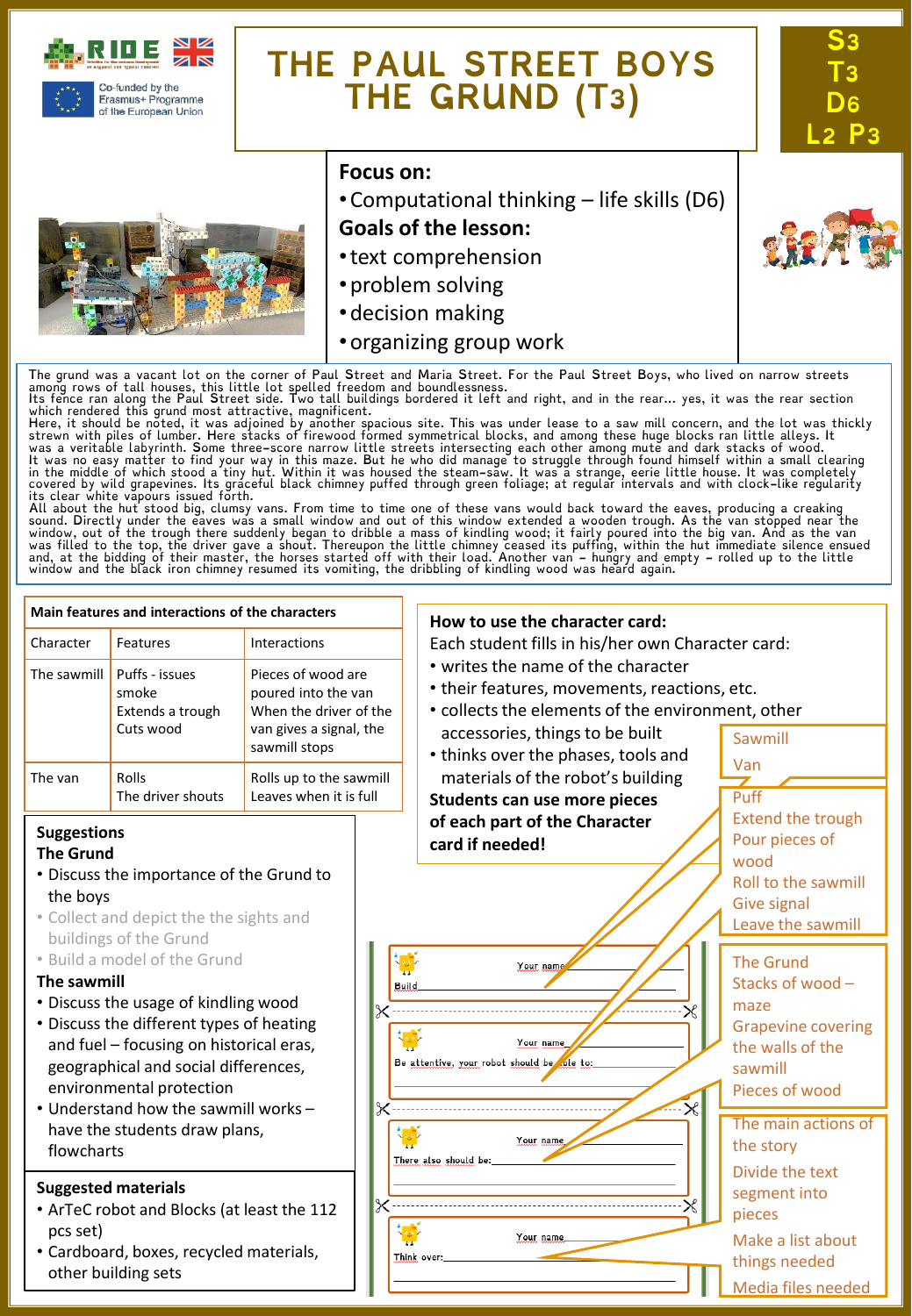

of the European Union

## **THE PAUL STREET BOYS THE GRUND (T3)**



#### **Focus on:**

•Computational thinking – life skills (D6)

**S3 T3 D6 L2 P3**

- **Goals of the lesson:**
- •text comprehension
- •problem solving
- •decision making
- •organizing group work

The grund was a vacant lot on the corner of Paul Street and Maria Street. For the Paul Street Boys, who lived on narrow streets<br>among rows of tall houses, this little lot spelled freedom and boundlessness.<br>Its fence ran al

which rendered this grund most attractive, magnificent.<br>Here, it should be noted, it was adjoined by another spacious site. This was under lease to a saw mill concern, and the lot was thickly<br>Here, it should be noted, it w

sound. Directly under the eaves was a small window and out of this window extended a wooden trough. As the van stopped near the<br>window, out of the trough there suddenly began to dribble a mass of kindling wood; it fairly p

#### **Main features and interactions of the characters How to use the character card:** Character Features Interactions Each student fills in his/her own Character card: • writes the name of the character The sawmill  $\vert$  Puffs - issues Pieces of wood are • their features, movements, reactions, etc. smoke poured into the van • collects the elements of the environment, other Extends a trough When the driver of the Cuts wood van gives a signal, the accessories, things to be built Sawmill sawmill stops • thinks over the phases, tools and Van materials of the robot's building The van Rolls Rolls up to the sawmill The driver shouts Leaves when it is full Puff **Students can use more pieces** Extend the trough **of each part of the Character Suggestions** Pour pieces of **card if needed! The Grund** wood • Discuss the importance of the Grund to Roll to the sawmill the boys Give signal • Collect and depict the the sights and Leave the sawmill buildings of the Grund • Build a model of the Grund The Grund Your nam **The sawmill** Stacks of wood – **Build** • Discuss the usage of kindling wood maze • Discuss the different types of heating Grapevine covering and fuel – focusing on historical eras, Your name the walls of the Be attentive, your robot should be ole to: geographical and social differences, sawmill environmental protection Pieces of wood • Understand how the sawmill works – The main actions of have the students draw plans, Your name the story flowcharts There also should be: Divide the text **Suggested materials** segment into • ArTeC robot and Blocks (at least the 112 pieces pcs set) Your name Make a list about • Cardboard, boxes, recycled materials, Think over: things needed other building sets Media files needed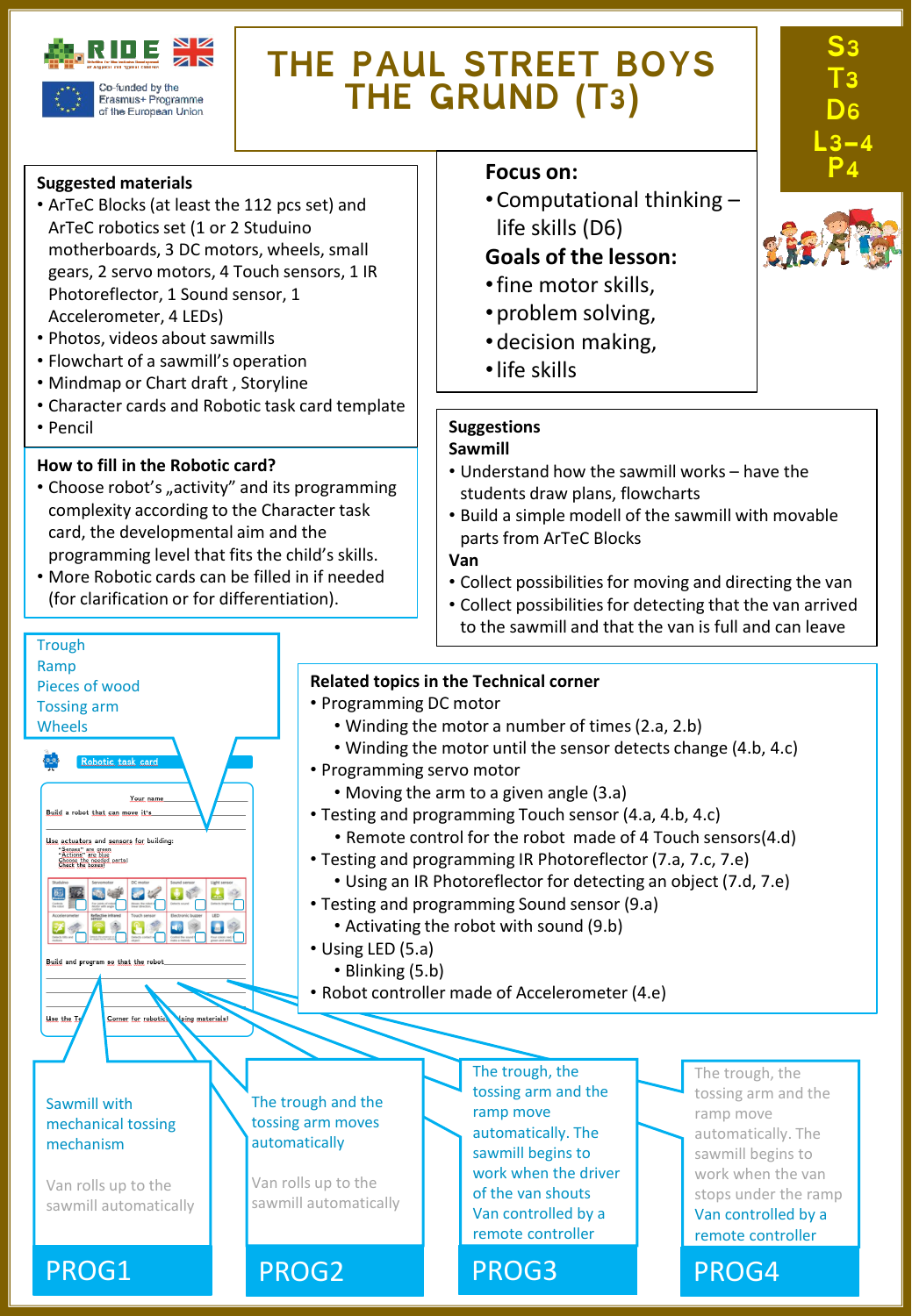

Erasmus+ Programme of the European Union

## **THE PAUL STREET BOYS THE GRUND (T3)**

#### **Suggested materials**

- ArTeC Blocks (at least the 112 pcs set) and ArTeC robotics set (1 or 2 Studuino motherboards, 3 DC motors, wheels, small gears, 2 servo motors, 4 Touch sensors, 1 IR Photoreflector, 1 Sound sensor, 1 Accelerometer, 4 LEDs)
- Photos, videos about sawmills
- Flowchart of a sawmill's operation
- Mindmap or Chart draft , Storyline
- Character cards and Robotic task card template
- Pencil

**Trough** 

#### **How to fill in the Robotic card?**

- Choose robot's "activity" and its programming complexity according to the Character task card, the developmental aim and the programming level that fits the child's skills.
- More Robotic cards can be filled in if needed (for clarification or for differentiation).

#### **Focus** on:

•Computational thinking – life skills (D6)

### **Goals of the lesson:**

- •fine motor skills,
- •problem solving,
- •decision making,
- •life skills

#### **Suggestions**

#### **Sawmill**

- Understand how the sawmill works have the students draw plans, flowcharts
- Build a simple modell of the sawmill with movable parts from ArTeC Blocks

#### **Van**

- Collect possibilities for moving and directing the van
- Collect possibilities for detecting that the van arrived to the sawmill and that the van is full and can leave

#### Ramp **Related topics in the Technical corner** Pieces of wood • Programming DC motor Tossing arm • Winding the motor a number of times(2.a, 2.b) Wheels • Winding the motor until the sensor detects change (4.b, 4.c) • Programming servo motor • Moving the arm to a given angle (3.a) Your ni Build a robot that can move it's • Testing and programming Touch sensor (4.a, 4.b, 4.c) • Remote control for the robot made of 4 Touch sensors(4.d) Use actuators and sensors for building: "Senses" are green<br>"Actions" are blue<br>Chace the hovest parts! • Testing and programming IR Photoreflector (7.a, 7.c, 7.e) • Using an IR Photoreflector for detecting an object (7.d, 7.e) 国王国史区 • Testing and programming Sound sensor (9.a) • Activating the robot with sound (9.b)  $\bullet$  $\mathbf{E}$ • Using LED (5.a) • Blinking (5.b) • Robot controller made of Accelerometer (4.e) Use the L Corner for robotie ing materials The trough, the The trough, the tossing arm and the tossing arm and the The trough and the Sawmill with ramp move ramp move tossing arm moves mechanical tossing automatically. The automatically. The automatically mechanism sawmill begins to sawmill begins to work when the driver work when the van Van rolls up to the Van rolls up to the of the van shouts stops under the ramp sawmill automatically sawmill automatically Van controlled by a Van controlled by a remote controller remote controller PROG1 PROG2 PROG3 PROG4



**S3** 

**T3 D6** 

**L3-4**